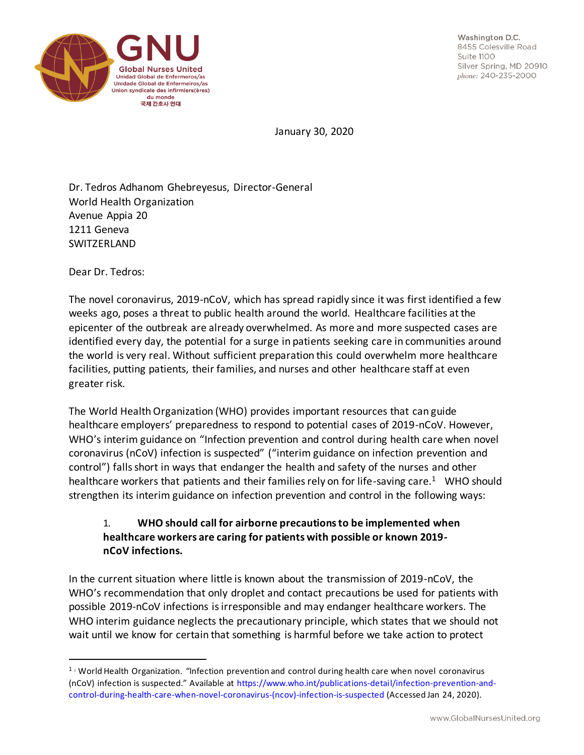

Washington D.C. 8455 Colesville Road  $S$ uite  $1100$ Silver Spring, MD 20910 phone: 240-235-2000

January 30, 2020

Dr. Tedros Adhanom Ghebreyesus, Director-General World Health Organization Avenue Appia 20 1211 Geneva SWITZERLAND

Dear Dr. Tedros:

The novel coronavirus, 2019-nCoV, which has spread rapidly since it was first identified a few weeks ago, poses a threat to public health around the world. Healthcare facilities at the epicenter of the outbreak are already overwhelmed. As more and more suspected cases are identified every day, the potential for a surge in patients seeking care in communities around the world is very real. Without sufficient preparation this could overwhelm more healthcare facilities, putting patients, their families, and nurses and other healthcare staff at even greater risk.

The World Health Organization (WHO) provides important resources that can guide healthcare employers' preparedness to respond to potential cases of 2019-nCoV. However, WHO's interim guidance on "Infection prevention and control during health care when novel coronavirus (nCoV) infection is suspected" ("interim guidance on infection prevention and control") falls short in ways that endanger the health and safety of the nurses and other healthcare workers that patients and their families rely on for life-saving care.<sup>1</sup> WHO should strengthen its interim guidance on infection prevention and control in the following ways:

## 1. **WHO should call for airborne precautions to be implemented when healthcare workers are caring for patients with possible or known 2019 nCoV infections.**

In the current situation where little is known about the transmission of 2019-nCoV, the WHO's recommendation that only droplet and contact precautions be used for patients with possible 2019-nCoV infections is irresponsible and may endanger healthcare workers. The WHO interim guidance neglects the precautionary principle, which states that we should not wait until we know for certain that something is harmful before we take action to protect

<sup>1</sup> <sup>i</sup> World Health Organization. "Infection prevention and control during health care when novel coronavirus (nCoV) infection is suspected." Available at https://www.who.int/publications-detail/infection-prevention-andcontrol-during-health-care-when-novel-coronavirus-(ncov)-infection-is-suspected (Accessed Jan 24, 2020).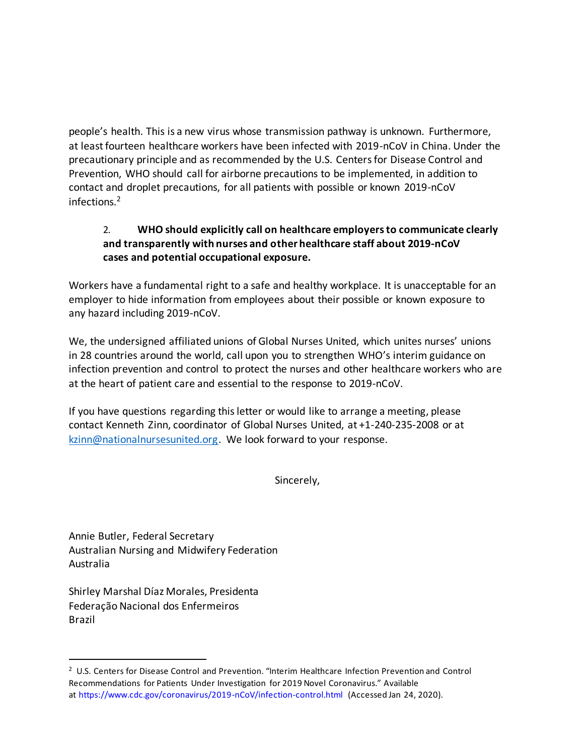people's health. This is a new virus whose transmission pathway is unknown. Furthermore, at least fourteen healthcare workers have been infected with 2019-nCoV in China. Under the precautionary principle and as recommended by the U.S. Centers for Disease Control and Prevention, WHO should call for airborne precautions to be implemented, in addition to contact and droplet precautions, for all patients with possible or known 2019-nCoV infections.<sup>2</sup>

## 2. **WHO should explicitly call on healthcare employers to communicate clearly and transparently with nurses and other healthcare staff about 2019-nCoV cases and potential occupational exposure.**

Workers have a fundamental right to a safe and healthy workplace. It is unacceptable for an employer to hide information from employees about their possible or known exposure to any hazard including 2019-nCoV.

We, the undersigned affiliated unions of Global Nurses United, which unites nurses' unions in 28 countries around the world, call upon you to strengthen WHO's interim guidance on infection prevention and control to protect the nurses and other healthcare workers who are at the heart of patient care and essential to the response to 2019-nCoV.

If you have questions regarding this letter or would like to arrange a meeting, please contact Kenneth Zinn, coordinator of Global Nurses United, at +1-240-235-2008 or at kzinn@nationalnursesunited.org. We look forward to your response.

Sincerely,

Annie Butler, Federal Secretary Australian Nursing and Midwifery Federation Australia

Shirley Marshal Díaz Morales, Presidenta Federação Nacional dos Enfermeiros Brazil

<sup>2</sup> U.S. Centers for Disease Control and Prevention. "Interim Healthcare Infection Prevention and Control Recommendations for Patients Under Investigation for 2019 Novel Coronavirus." Available at https://www.cdc.gov/coronavirus/2019-nCoV/infection-control.html (Accessed Jan 24, 2020).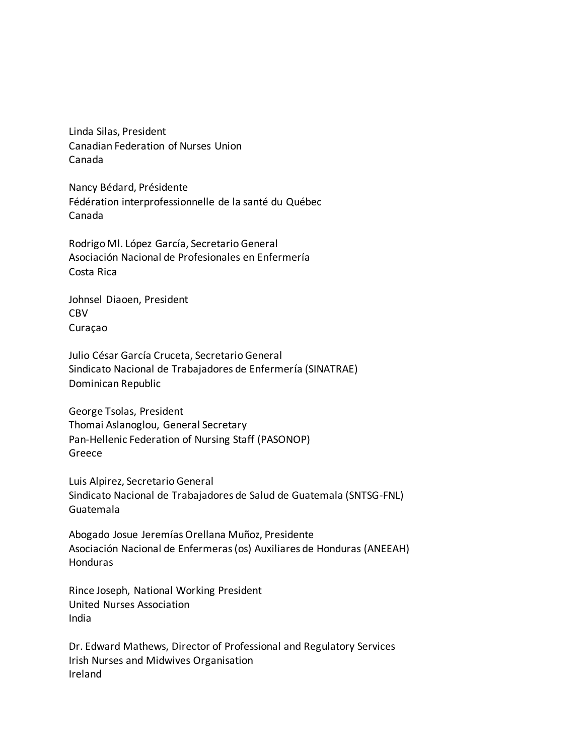Linda Silas, President Canadian Federation of Nurses Union Canada

Nancy Bédard, Présidente Fédération interprofessionnelle de la santé du Québec Canada

Rodrigo Ml. López García, Secretario General Asociación Nacional de Profesionales en Enfermería Costa Rica

Johnsel Diaoen, President CBV Curaçao

Julio César García Cruceta, Secretario General Sindicato Nacional de Trabajadores de Enfermería (SINATRAE) Dominican Republic

George Tsolas, President Thomai Aslanoglou, General Secretary Pan-Hellenic Federation of Nursing Staff (PASONOP) Greece

Luis Alpirez, Secretario General Sindicato Nacional de Trabajadores de Salud de Guatemala (SNTSG-FNL) Guatemala

Abogado Josue Jeremías Orellana Muñoz, Presidente Asociación Nacional de Enfermeras (os) Auxiliares de Honduras (ANEEAH) Honduras

Rince Joseph, National Working President United Nurses Association India

Dr. Edward Mathews, Director of Professional and Regulatory Services Irish Nurses and Midwives Organisation Ireland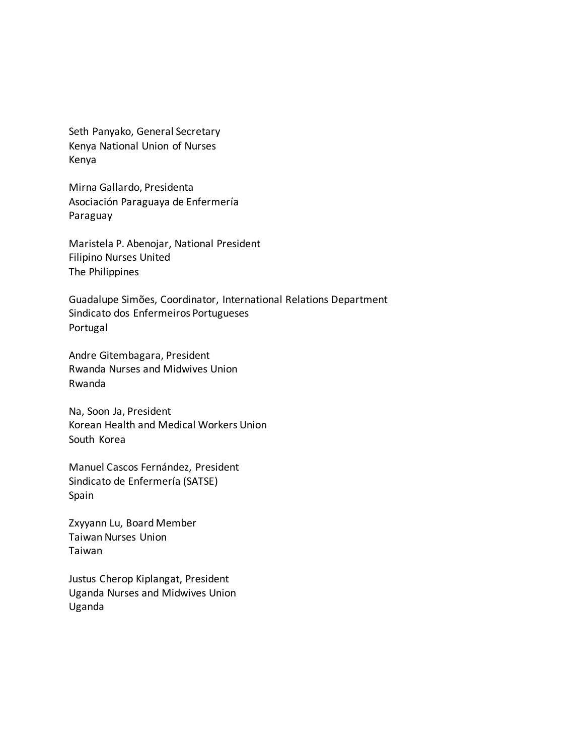Seth Panyako, General Secretary Kenya National Union of Nurses Kenya

Mirna Gallardo, Presidenta Asociación Paraguaya de Enfermería Paraguay

Maristela P. Abenojar, National President Filipino Nurses United The Philippines

Guadalupe Simões, Coordinator, International Relations Department Sindicato dos Enfermeiros Portugueses Portugal

Andre Gitembagara, President Rwanda Nurses and Midwives Union Rwanda

Na, Soon Ja, President Korean Health and Medical Workers Union South Korea

Manuel Cascos Fernández, President Sindicato de Enfermería (SATSE) Spain

Zxyyann Lu, Board Member Taiwan Nurses Union Taiwan

Justus Cherop Kiplangat, President Uganda Nurses and Midwives Union Uganda